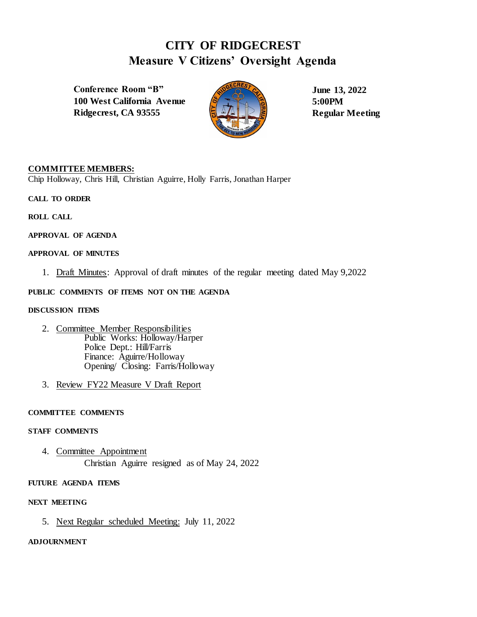# **CITY OF RIDGECREST Measure V Citizens' Oversight Agenda**

**Conference Room "B" 100 West California Avenue Ridgecrest, CA 93555**



**June 13, 2022 5:00PM Regular Meeting** 

# **COMMITTEE MEMBERS:**

Chip Holloway, Chris Hill, Christian Aguirre, Holly Farris, Jonathan Harper

**CALL TO ORDER**

**ROLL CALL**

**APPROVAL OF AGENDA**

# **APPROVAL OF MINUTES**

1. Draft Minutes: Approval of draft minutes of the regular meeting dated May 9,2022

### **PUBLIC COMMENTS OF ITEMS NOT ON THE AGENDA**

#### **DISCUSSION ITEMS**

- 2. Committee Member Responsibilities Public Works: Holloway/Harper Police Dept.: Hill/Farris Finance: Aguirre/Holloway Opening/ Closing: Farris/Holloway
- 3. Review FY22 Measure V Draft Report

#### **COMMITTEE COMMENTS**

#### **STAFF COMMENTS**

4. Committee Appointment Christian Aguirre resigned as of May 24, 2022

#### **FUTURE AGENDA ITEMS**

#### **NEXT MEETING**

5. Next Regular scheduled Meeting: July 11, 2022

### **ADJOURNMENT**